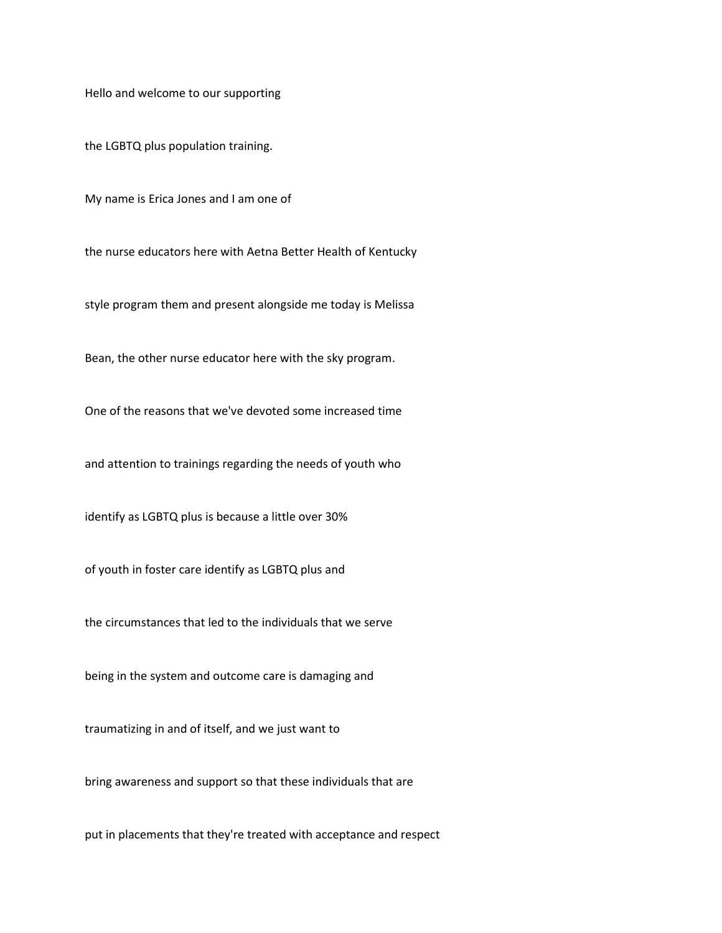Hello and welcome to our supporting

the LGBTQ plus population training.

My name is Erica Jones and I am one of

the nurse educators here with Aetna Better Health of Kentucky

style program them and present alongside me today is Melissa

Bean, the other nurse educator here with the sky program.

One of the reasons that we've devoted some increased time

and attention to trainings regarding the needs of youth who

identify as LGBTQ plus is because a little over 30%

of youth in foster care identify as LGBTQ plus and

the circumstances that led to the individuals that we serve

being in the system and outcome care is damaging and

traumatizing in and of itself, and we just want to

bring awareness and support so that these individuals that are

put in placements that they're treated with acceptance and respect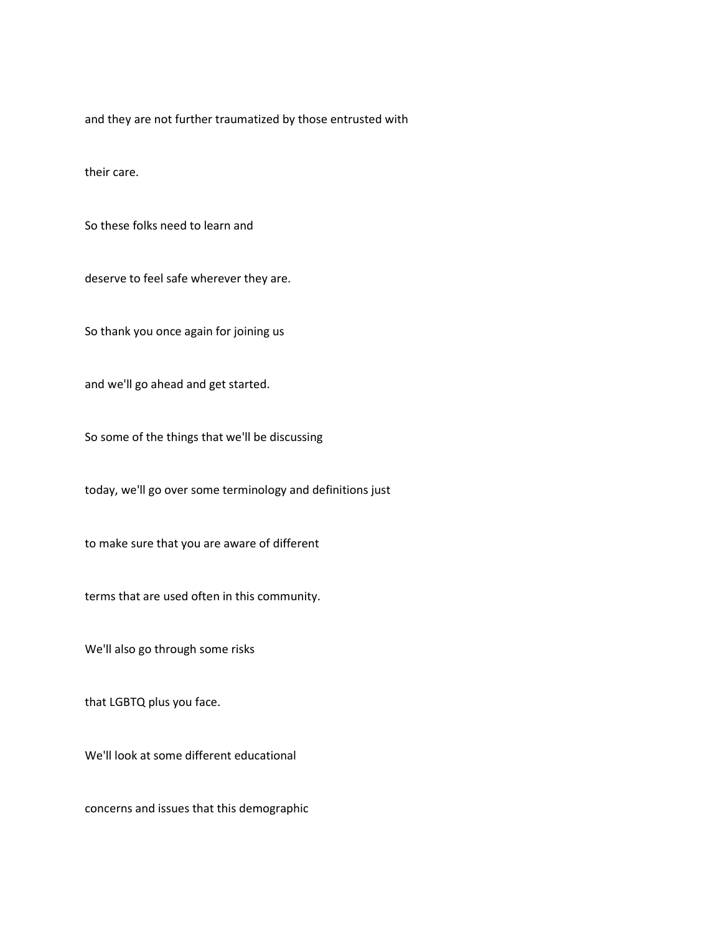and they are not further traumatized by those entrusted with

their care.

So these folks need to learn and

deserve to feel safe wherever they are.

So thank you once again for joining us

and we'll go ahead and get started.

So some of the things that we'll be discussing

today, we'll go over some terminology and definitions just

to make sure that you are aware of different

terms that are used often in this community.

We'll also go through some risks

that LGBTQ plus you face.

We'll look at some different educational

concerns and issues that this demographic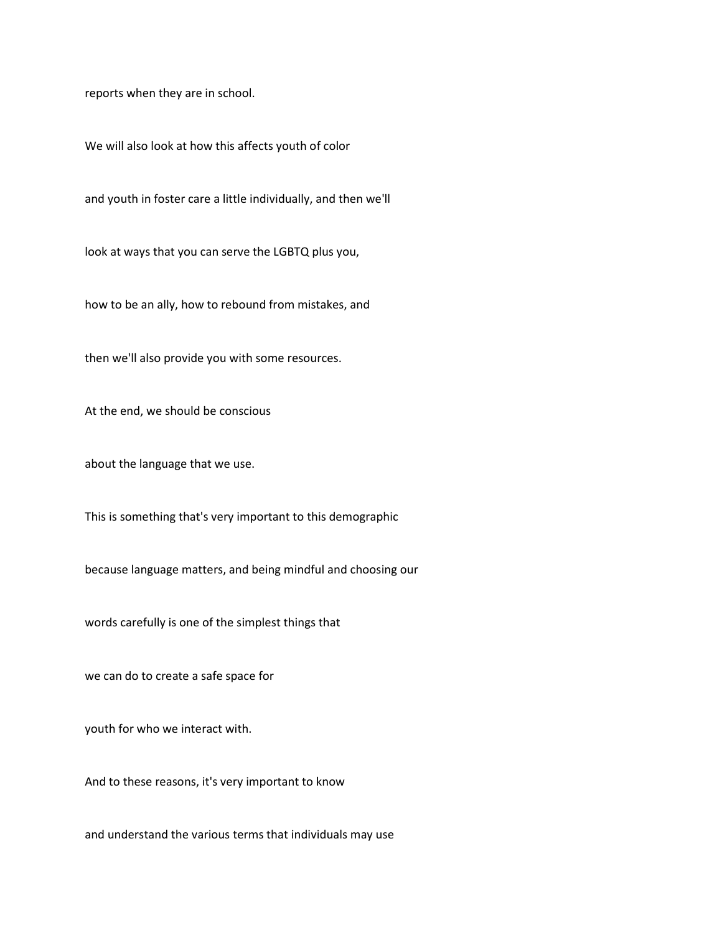reports when they are in school.

We will also look at how this affects youth of color

and youth in foster care a little individually, and then we'll

look at ways that you can serve the LGBTQ plus you,

how to be an ally, how to rebound from mistakes, and

then we'll also provide you with some resources.

At the end, we should be conscious

about the language that we use.

This is something that's very important to this demographic

because language matters, and being mindful and choosing our

words carefully is one of the simplest things that

we can do to create a safe space for

youth for who we interact with.

And to these reasons, it's very important to know

and understand the various terms that individuals may use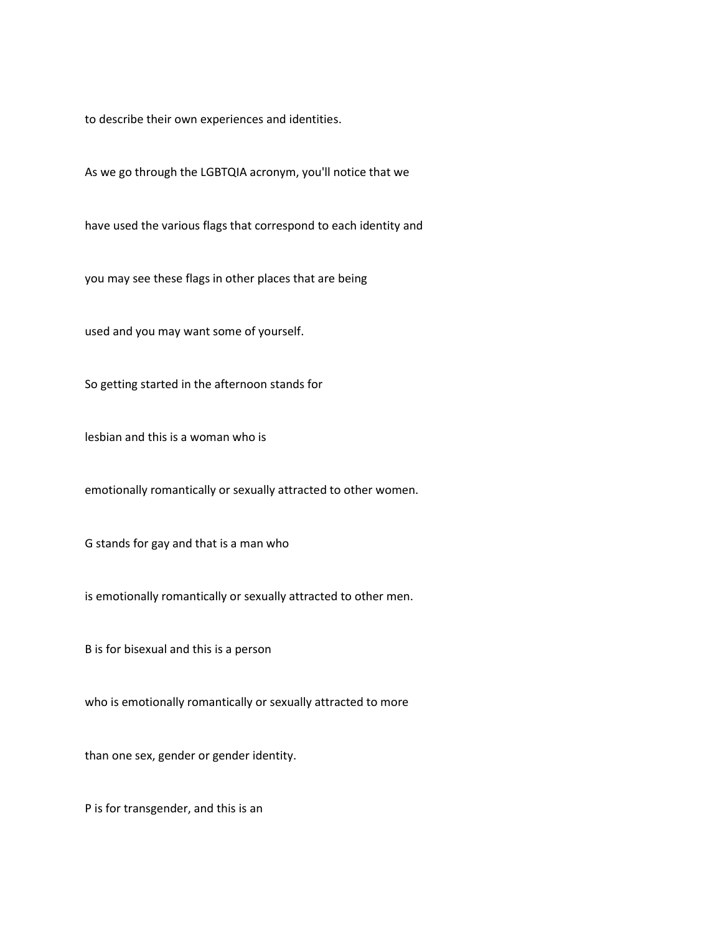to describe their own experiences and identities.

As we go through the LGBTQIA acronym, you'll notice that we

have used the various flags that correspond to each identity and

you may see these flags in other places that are being

used and you may want some of yourself.

So getting started in the afternoon stands for

lesbian and this is a woman who is

emotionally romantically or sexually attracted to other women.

G stands for gay and that is a man who

is emotionally romantically or sexually attracted to other men.

B is for bisexual and this is a person

who is emotionally romantically or sexually attracted to more

than one sex, gender or gender identity.

P is for transgender, and this is an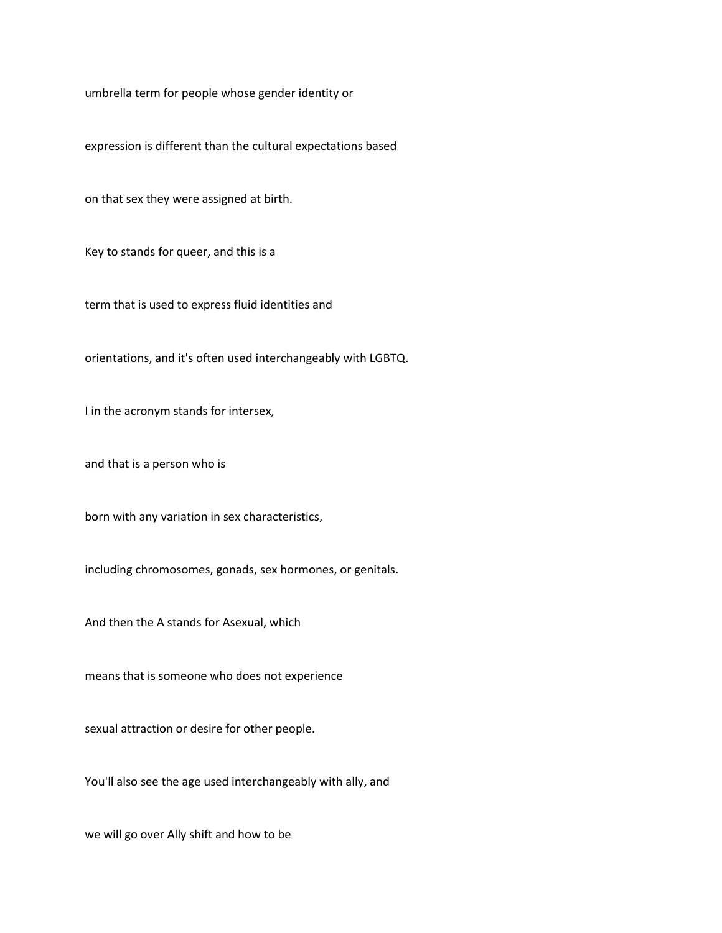umbrella term for people whose gender identity or

expression is different than the cultural expectations based

on that sex they were assigned at birth.

Key to stands for queer, and this is a

term that is used to express fluid identities and

orientations, and it's often used interchangeably with LGBTQ.

I in the acronym stands for intersex,

and that is a person who is

born with any variation in sex characteristics,

including chromosomes, gonads, sex hormones, or genitals.

And then the A stands for Asexual, which

means that is someone who does not experience

sexual attraction or desire for other people.

You'll also see the age used interchangeably with ally, and

we will go over Ally shift and how to be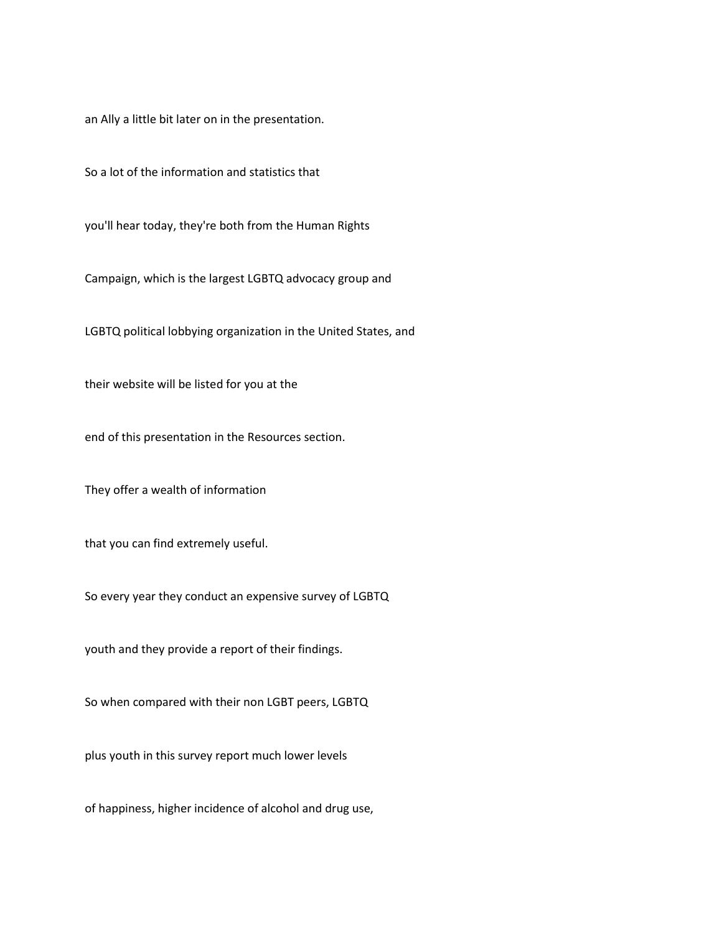an Ally a little bit later on in the presentation.

So a lot of the information and statistics that

you'll hear today, they're both from the Human Rights

Campaign, which is the largest LGBTQ advocacy group and

LGBTQ political lobbying organization in the United States, and

their website will be listed for you at the

end of this presentation in the Resources section.

They offer a wealth of information

that you can find extremely useful.

So every year they conduct an expensive survey of LGBTQ

youth and they provide a report of their findings.

So when compared with their non LGBT peers, LGBTQ

plus youth in this survey report much lower levels

of happiness, higher incidence of alcohol and drug use,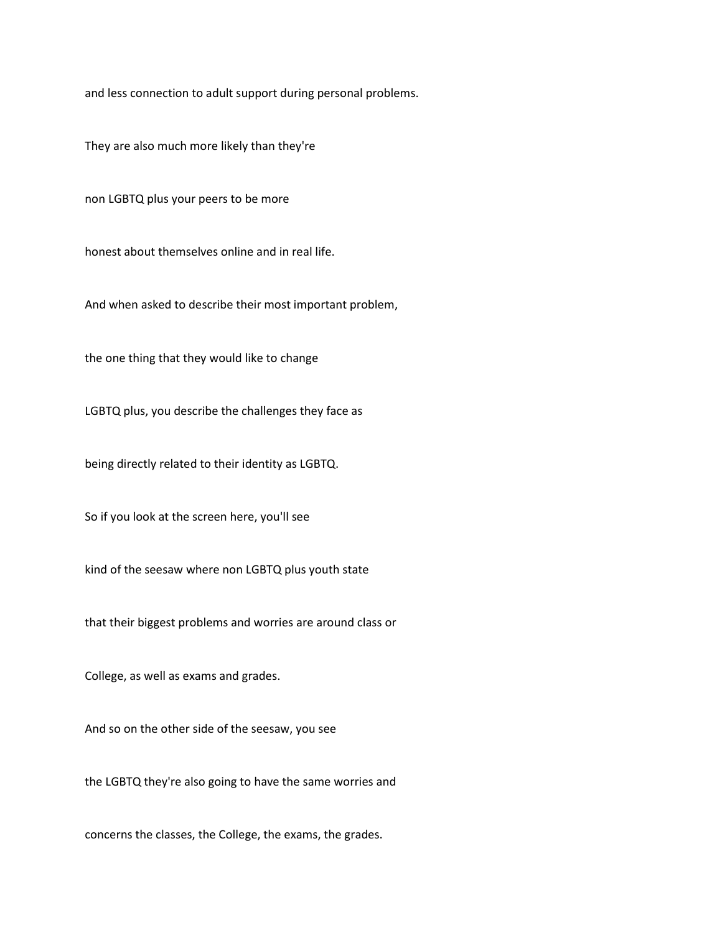and less connection to adult support during personal problems.

They are also much more likely than they're

non LGBTQ plus your peers to be more

honest about themselves online and in real life.

And when asked to describe their most important problem,

the one thing that they would like to change

LGBTQ plus, you describe the challenges they face as

being directly related to their identity as LGBTQ.

So if you look at the screen here, you'll see

kind of the seesaw where non LGBTQ plus youth state

that their biggest problems and worries are around class or

College, as well as exams and grades.

And so on the other side of the seesaw, you see

the LGBTQ they're also going to have the same worries and

concerns the classes, the College, the exams, the grades.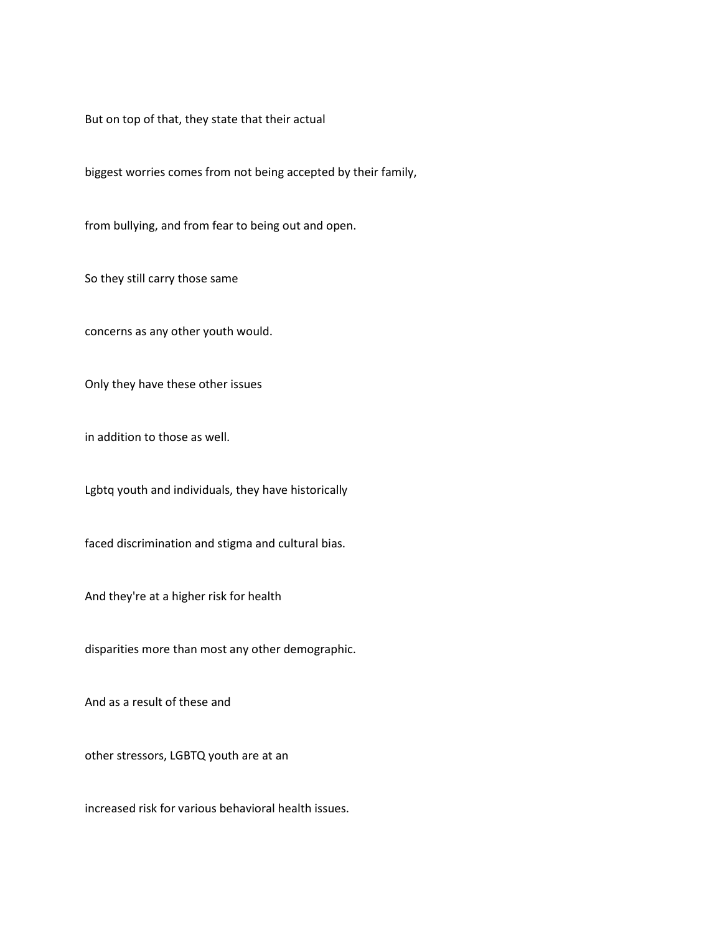But on top of that, they state that their actual

biggest worries comes from not being accepted by their family,

from bullying, and from fear to being out and open.

So they still carry those same

concerns as any other youth would.

Only they have these other issues

in addition to those as well.

Lgbtq youth and individuals, they have historically

faced discrimination and stigma and cultural bias.

And they're at a higher risk for health

disparities more than most any other demographic.

And as a result of these and

other stressors, LGBTQ youth are at an

increased risk for various behavioral health issues.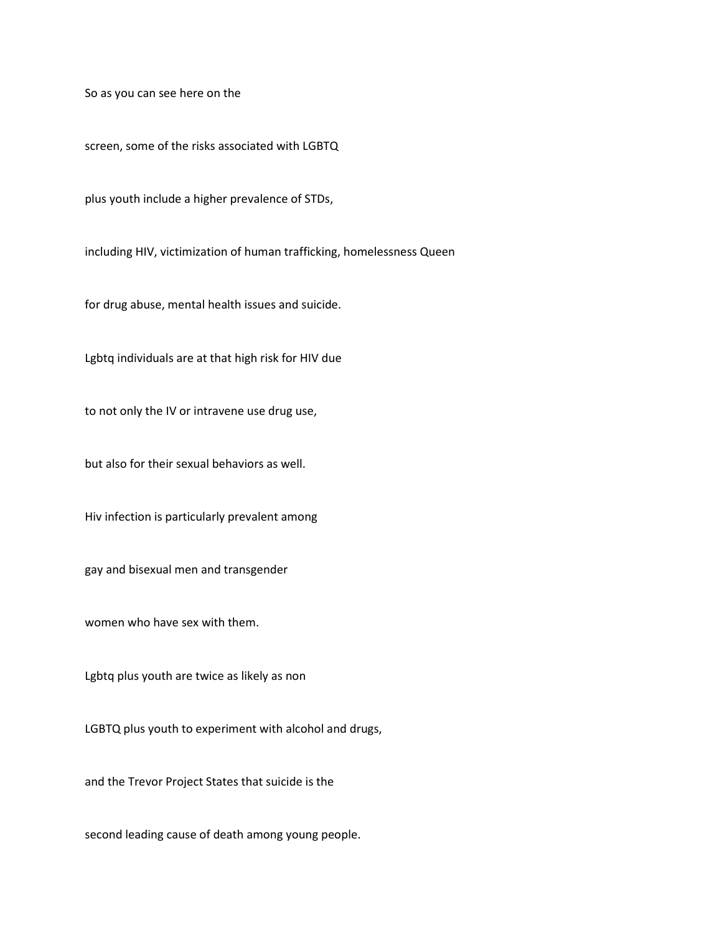So as you can see here on the

screen, some of the risks associated with LGBTQ

plus youth include a higher prevalence of STDs,

including HIV, victimization of human trafficking, homelessness Queen

for drug abuse, mental health issues and suicide.

Lgbtq individuals are at that high risk for HIV due

to not only the IV or intravene use drug use,

but also for their sexual behaviors as well.

Hiv infection is particularly prevalent among

gay and bisexual men and transgender

women who have sex with them.

Lgbtq plus youth are twice as likely as non

LGBTQ plus youth to experiment with alcohol and drugs,

and the Trevor Project States that suicide is the

second leading cause of death among young people.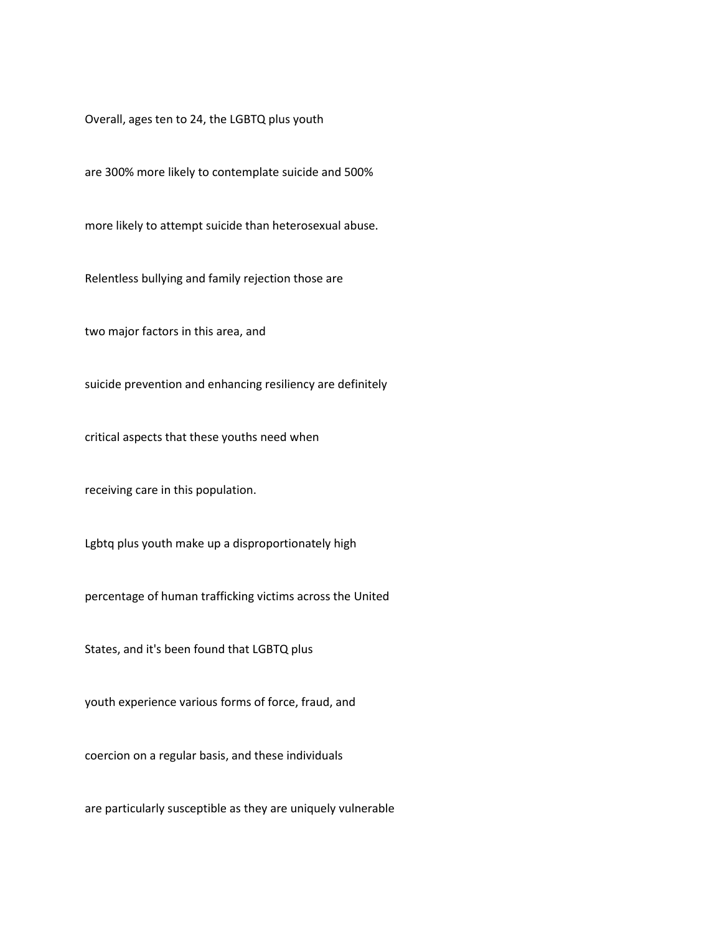Overall, ages ten to 24, the LGBTQ plus youth

are 300% more likely to contemplate suicide and 500%

more likely to attempt suicide than heterosexual abuse.

Relentless bullying and family rejection those are

two major factors in this area, and

suicide prevention and enhancing resiliency are definitely

critical aspects that these youths need when

receiving care in this population.

Lgbtq plus youth make up a disproportionately high

percentage of human trafficking victims across the United

States, and it's been found that LGBTQ plus

youth experience various forms of force, fraud, and

coercion on a regular basis, and these individuals

are particularly susceptible as they are uniquely vulnerable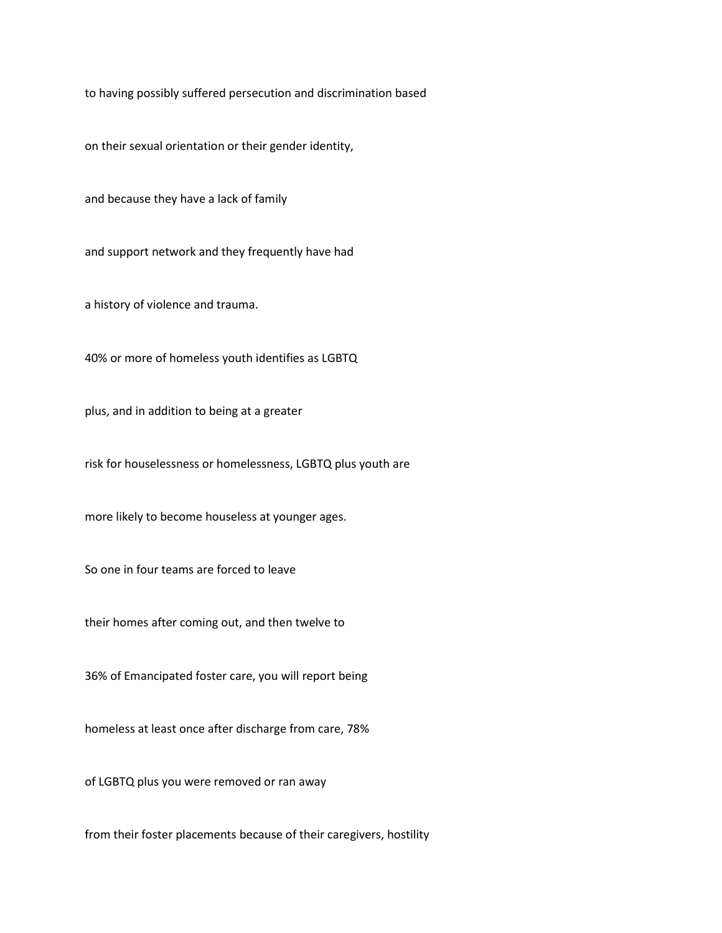to having possibly suffered persecution and discrimination based

on their sexual orientation or their gender identity,

and because they have a lack of family

and support network and they frequently have had

a history of violence and trauma.

40% or more of homeless youth identifies as LGBTQ

plus, and in addition to being at a greater

risk for houselessness or homelessness, LGBTQ plus youth are

more likely to become houseless at younger ages.

So one in four teams are forced to leave

their homes after coming out, and then twelve to

36% of Emancipated foster care, you will report being

homeless at least once after discharge from care, 78%

of LGBTQ plus you were removed or ran away

from their foster placements because of their caregivers, hostility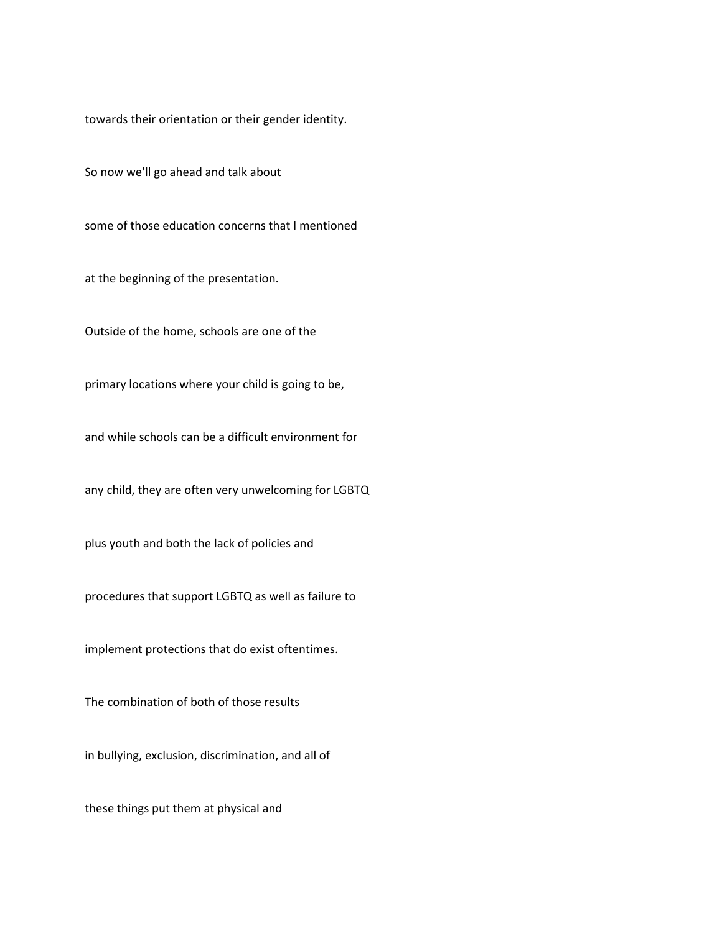towards their orientation or their gender identity.

So now we'll go ahead and talk about

some of those education concerns that I mentioned

at the beginning of the presentation.

Outside of the home, schools are one of the

primary locations where your child is going to be,

and while schools can be a difficult environment for

any child, they are often very unwelcoming for LGBTQ

plus youth and both the lack of policies and

procedures that support LGBTQ as well as failure to

implement protections that do exist oftentimes.

The combination of both of those results

in bullying, exclusion, discrimination, and all of

these things put them at physical and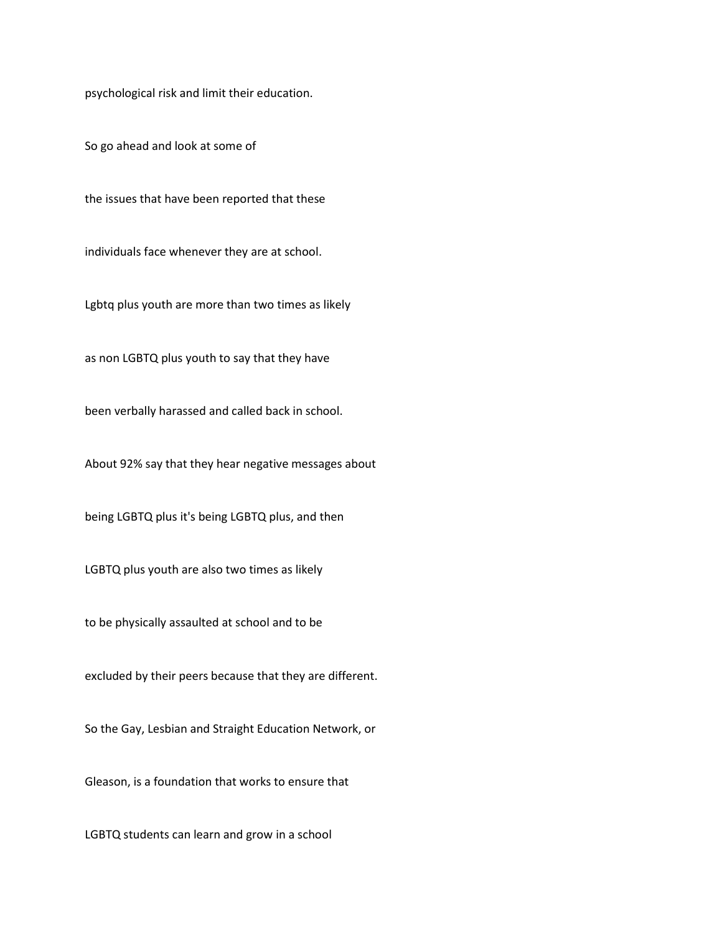psychological risk and limit their education.

So go ahead and look at some of

the issues that have been reported that these

individuals face whenever they are at school.

Lgbtq plus youth are more than two times as likely

as non LGBTQ plus youth to say that they have

been verbally harassed and called back in school.

About 92% say that they hear negative messages about

being LGBTQ plus it's being LGBTQ plus, and then

LGBTQ plus youth are also two times as likely

to be physically assaulted at school and to be

excluded by their peers because that they are different.

So the Gay, Lesbian and Straight Education Network, or

Gleason, is a foundation that works to ensure that

LGBTQ students can learn and grow in a school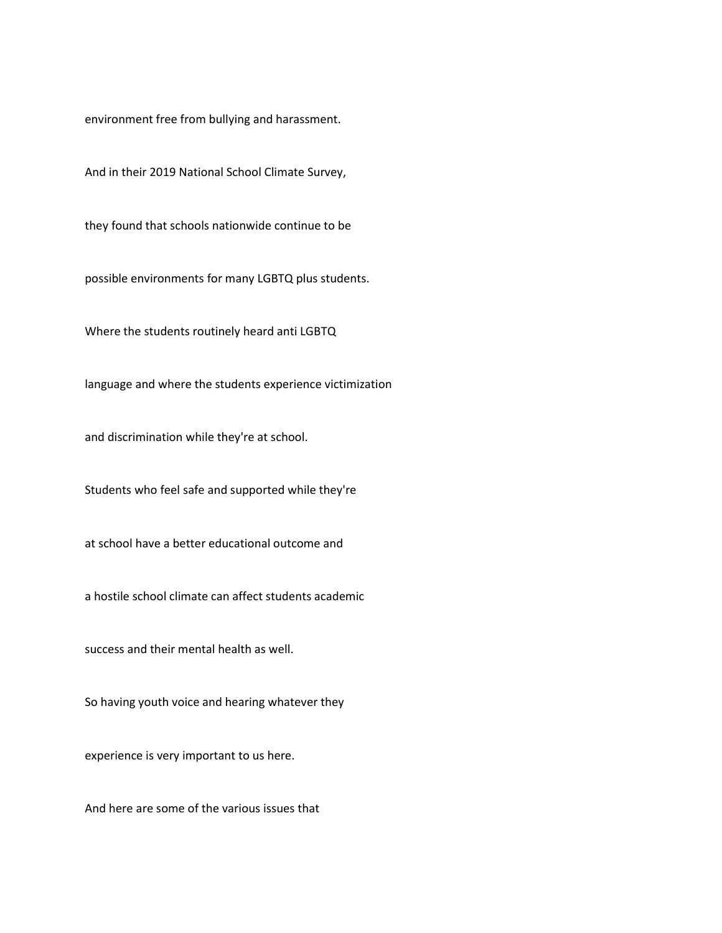environment free from bullying and harassment.

And in their 2019 National School Climate Survey,

they found that schools nationwide continue to be

possible environments for many LGBTQ plus students.

Where the students routinely heard anti LGBTQ

language and where the students experience victimization

and discrimination while they're at school.

Students who feel safe and supported while they're

at school have a better educational outcome and

a hostile school climate can affect students academic

success and their mental health as well.

So having youth voice and hearing whatever they

experience is very important to us here.

And here are some of the various issues that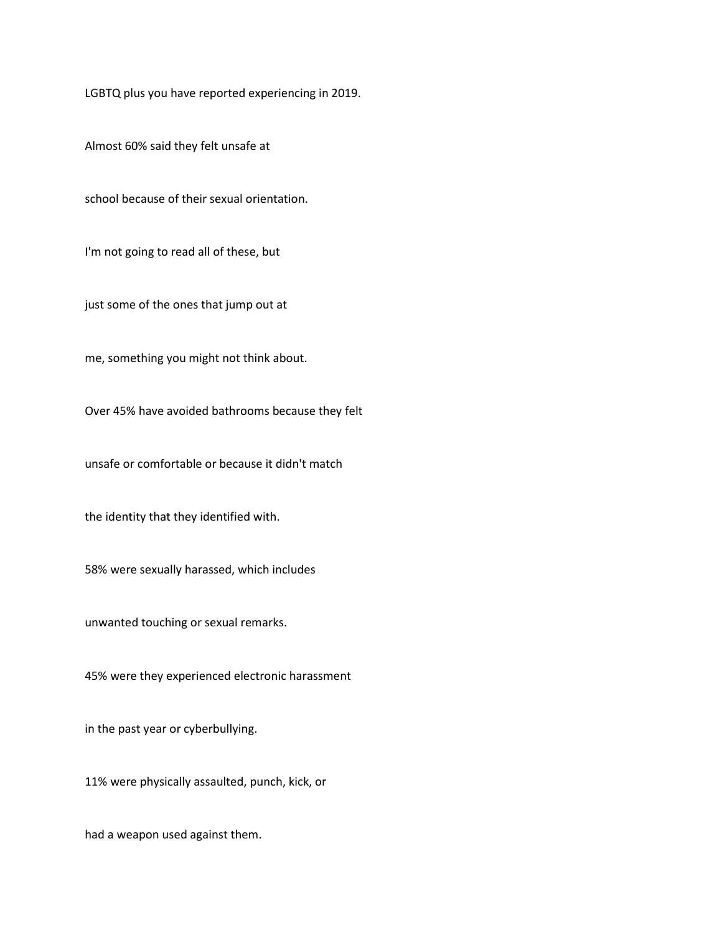LGBTQ plus you have reported experiencing in 2019.

Almost 60% said they felt unsafe at

school because of their sexual orientation.

I'm not going to read all of these, but

just some of the ones that jump out at

me, something you might not think about.

Over 45% have avoided bathrooms because they felt

unsafe or comfortable or because it didn't match

the identity that they identified with.

58% were sexually harassed, which includes

unwanted touching or sexual remarks.

45% were they experienced electronic harassment

in the past year or cyberbullying.

11% were physically assaulted, punch, kick, or

had a weapon used against them.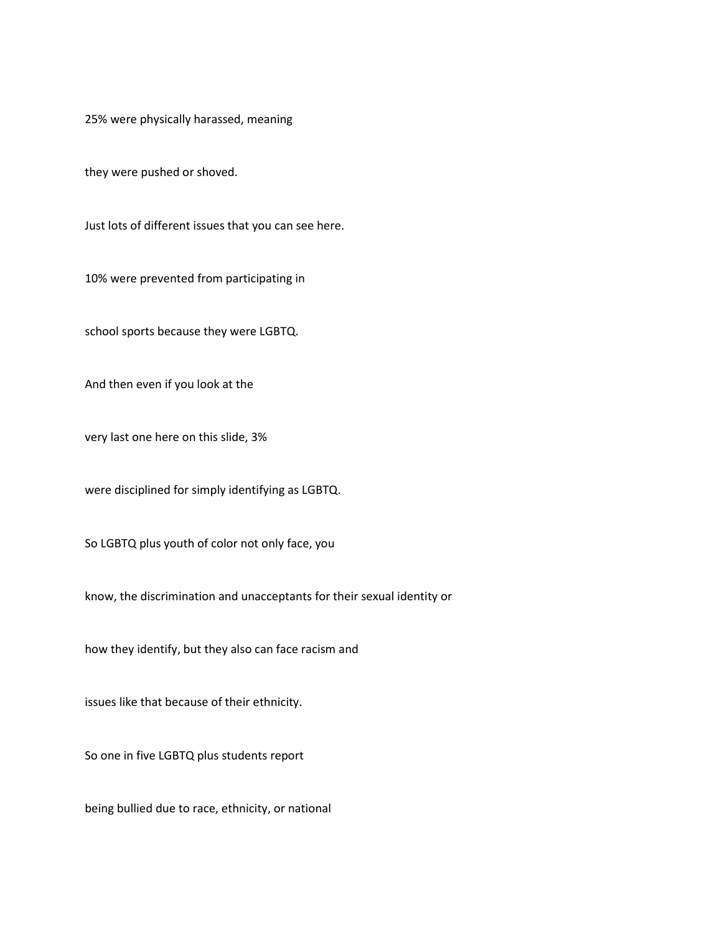25% were physically harassed, meaning

they were pushed or shoved.

Just lots of different issues that you can see here.

10% were prevented from participating in

school sports because they were LGBTQ.

And then even if you look at the

very last one here on this slide, 3%

were disciplined for simply identifying as LGBTQ.

So LGBTQ plus youth of color not only face, you

know, the discrimination and unacceptants for their sexual identity or

how they identify, but they also can face racism and

issues like that because of their ethnicity.

So one in five LGBTQ plus students report

being bullied due to race, ethnicity, or national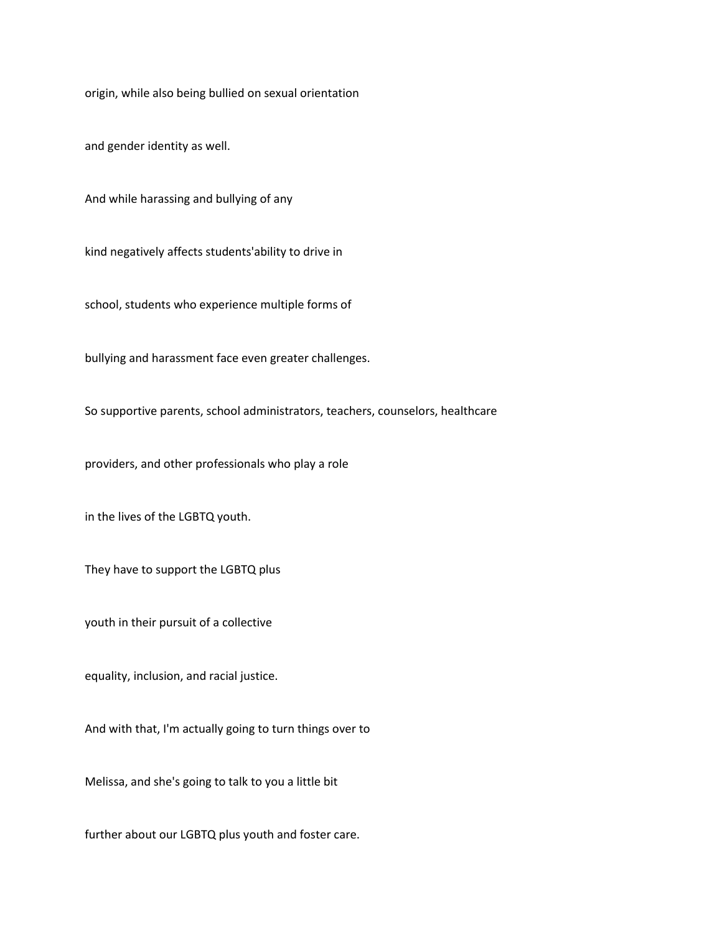origin, while also being bullied on sexual orientation

and gender identity as well.

And while harassing and bullying of any

kind negatively affects students'ability to drive in

school, students who experience multiple forms of

bullying and harassment face even greater challenges.

So supportive parents, school administrators, teachers, counselors, healthcare

providers, and other professionals who play a role

in the lives of the LGBTQ youth.

They have to support the LGBTQ plus

youth in their pursuit of a collective

equality, inclusion, and racial justice.

And with that, I'm actually going to turn things over to

Melissa, and she's going to talk to you a little bit

further about our LGBTQ plus youth and foster care.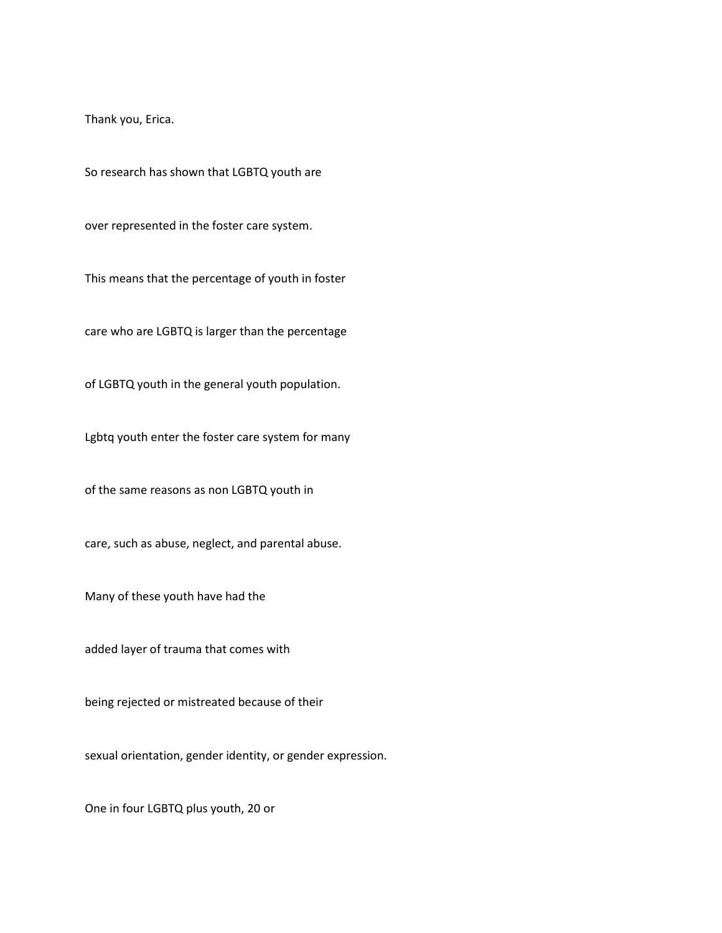Thank you, Erica.

So research has shown that LGBTQ youth are

over represented in the foster care system.

This means that the percentage of youth in foster

care who are LGBTQ is larger than the percentage

of LGBTQ youth in the general youth population.

Lgbtq youth enter the foster care system for many

of the same reasons as non LGBTQ youth in

care, such as abuse, neglect, and parental abuse.

Many of these youth have had the

added layer of trauma that comes with

being rejected or mistreated because of their

sexual orientation, gender identity, or gender expression.

One in four LGBTQ plus youth, 20 or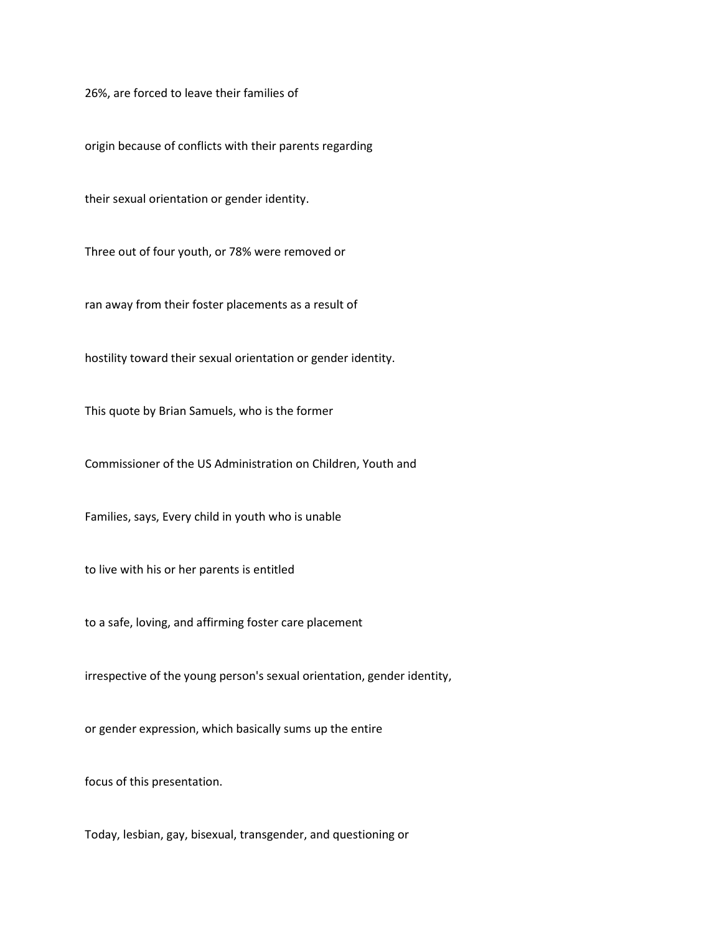26%, are forced to leave their families of

origin because of conflicts with their parents regarding

their sexual orientation or gender identity.

Three out of four youth, or 78% were removed or

ran away from their foster placements as a result of

hostility toward their sexual orientation or gender identity.

This quote by Brian Samuels, who is the former

Commissioner of the US Administration on Children, Youth and

Families, says, Every child in youth who is unable

to live with his or her parents is entitled

to a safe, loving, and affirming foster care placement

irrespective of the young person's sexual orientation, gender identity,

or gender expression, which basically sums up the entire

focus of this presentation.

Today, lesbian, gay, bisexual, transgender, and questioning or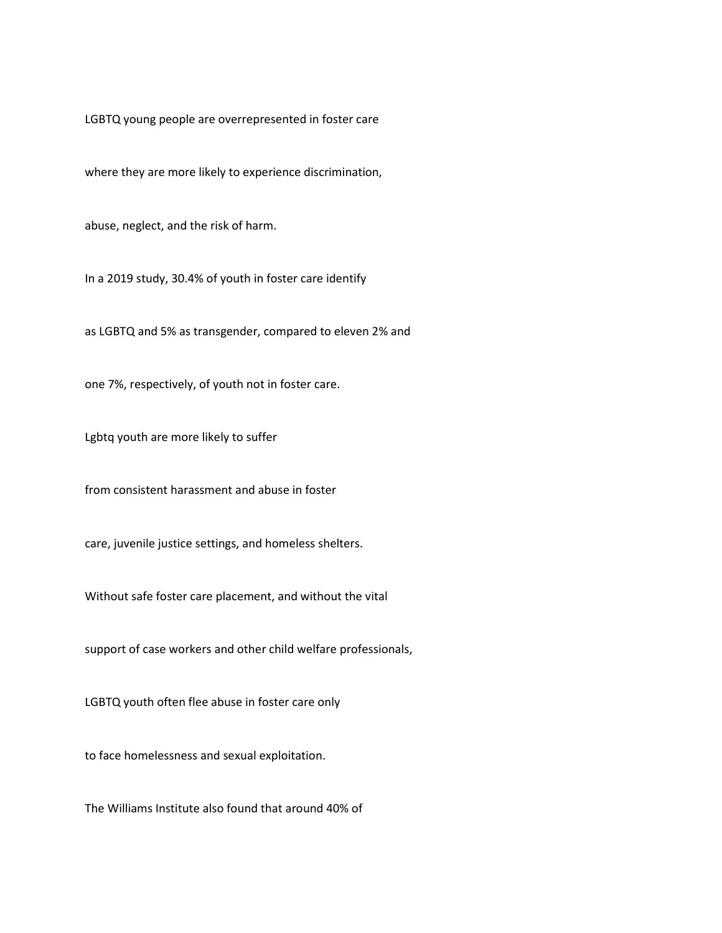LGBTQ young people are overrepresented in foster care

where they are more likely to experience discrimination,

abuse, neglect, and the risk of harm.

In a 2019 study, 30.4% of youth in foster care identify

as LGBTQ and 5% as transgender, compared to eleven 2% and

one 7%, respectively, of youth not in foster care.

Lgbtq youth are more likely to suffer

from consistent harassment and abuse in foster

care, juvenile justice settings, and homeless shelters.

Without safe foster care placement, and without the vital

support of case workers and other child welfare professionals,

LGBTQ youth often flee abuse in foster care only

to face homelessness and sexual exploitation.

The Williams Institute also found that around 40% of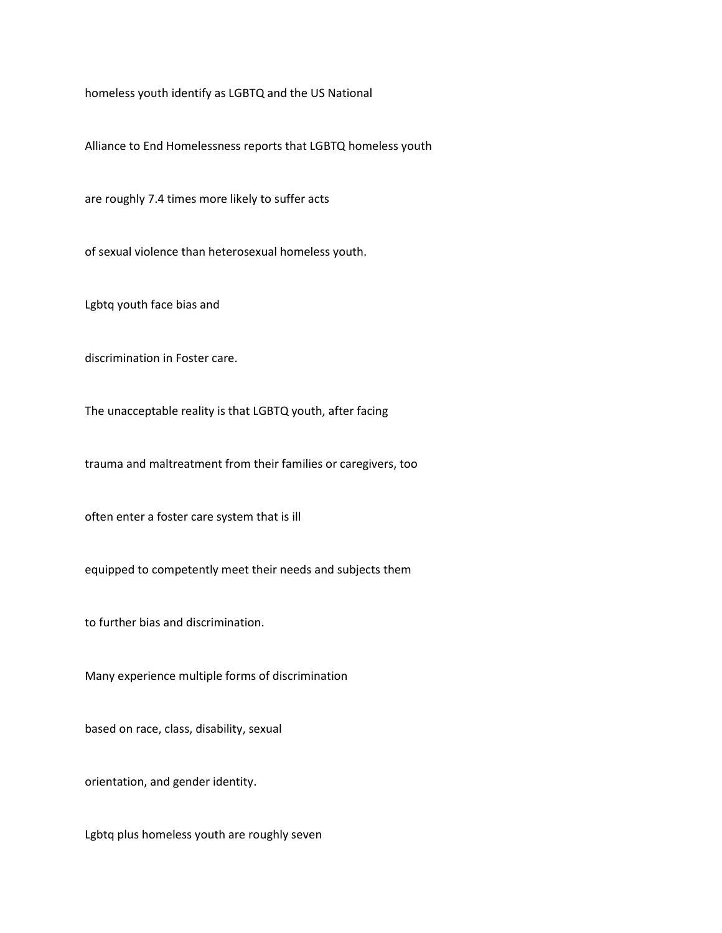homeless youth identify as LGBTQ and the US National

Alliance to End Homelessness reports that LGBTQ homeless youth

are roughly 7.4 times more likely to suffer acts

of sexual violence than heterosexual homeless youth.

Lgbtq youth face bias and

discrimination in Foster care.

The unacceptable reality is that LGBTQ youth, after facing

trauma and maltreatment from their families or caregivers, too

often enter a foster care system that is ill

equipped to competently meet their needs and subjects them

to further bias and discrimination.

Many experience multiple forms of discrimination

based on race, class, disability, sexual

orientation, and gender identity.

Lgbtq plus homeless youth are roughly seven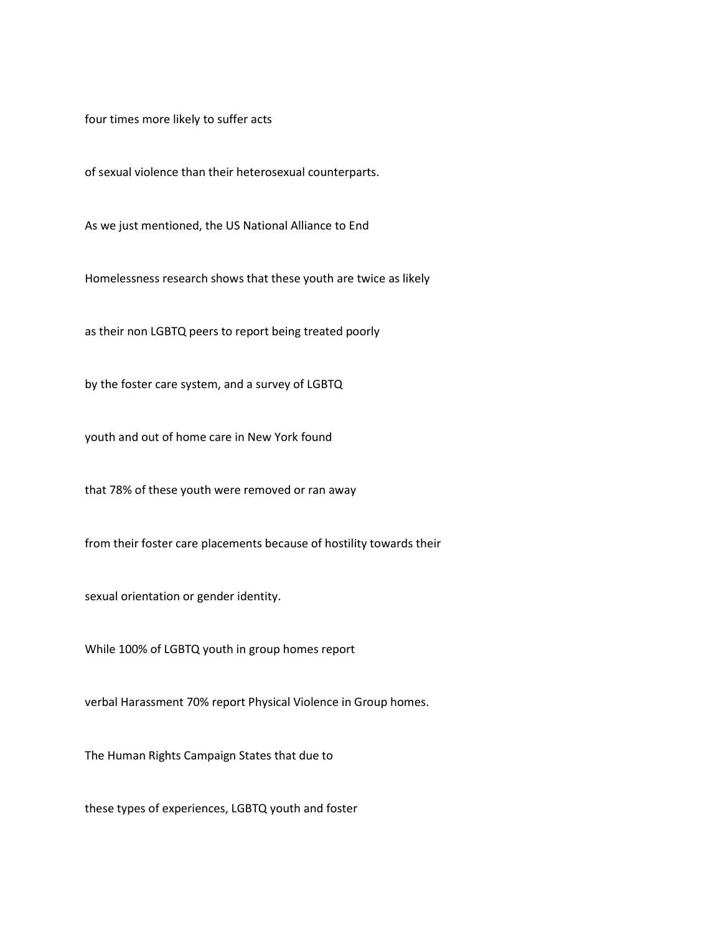four times more likely to suffer acts

of sexual violence than their heterosexual counterparts.

As we just mentioned, the US National Alliance to End

Homelessness research shows that these youth are twice as likely

as their non LGBTQ peers to report being treated poorly

by the foster care system, and a survey of LGBTQ

youth and out of home care in New York found

that 78% of these youth were removed or ran away

from their foster care placements because of hostility towards their

sexual orientation or gender identity.

While 100% of LGBTQ youth in group homes report

verbal Harassment 70% report Physical Violence in Group homes.

The Human Rights Campaign States that due to

these types of experiences, LGBTQ youth and foster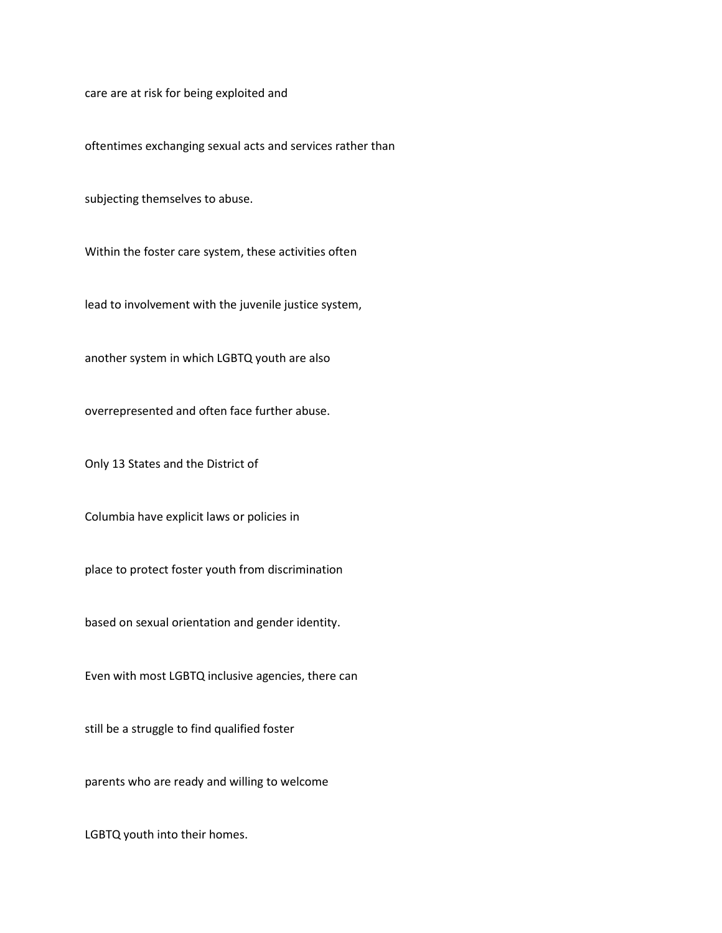care are at risk for being exploited and

oftentimes exchanging sexual acts and services rather than

subjecting themselves to abuse.

Within the foster care system, these activities often

lead to involvement with the juvenile justice system,

another system in which LGBTQ youth are also

overrepresented and often face further abuse.

Only 13 States and the District of

Columbia have explicit laws or policies in

place to protect foster youth from discrimination

based on sexual orientation and gender identity.

Even with most LGBTQ inclusive agencies, there can

still be a struggle to find qualified foster

parents who are ready and willing to welcome

LGBTQ youth into their homes.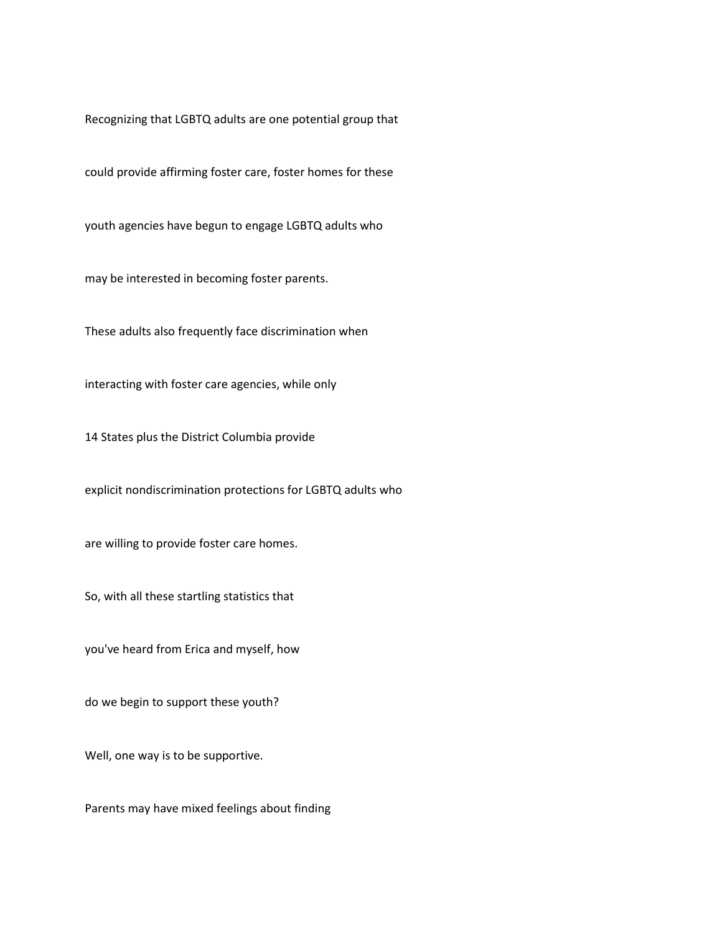Recognizing that LGBTQ adults are one potential group that

could provide affirming foster care, foster homes for these

youth agencies have begun to engage LGBTQ adults who

may be interested in becoming foster parents.

These adults also frequently face discrimination when

interacting with foster care agencies, while only

14 States plus the District Columbia provide

explicit nondiscrimination protections for LGBTQ adults who

are willing to provide foster care homes.

So, with all these startling statistics that

you've heard from Erica and myself, how

do we begin to support these youth?

Well, one way is to be supportive.

Parents may have mixed feelings about finding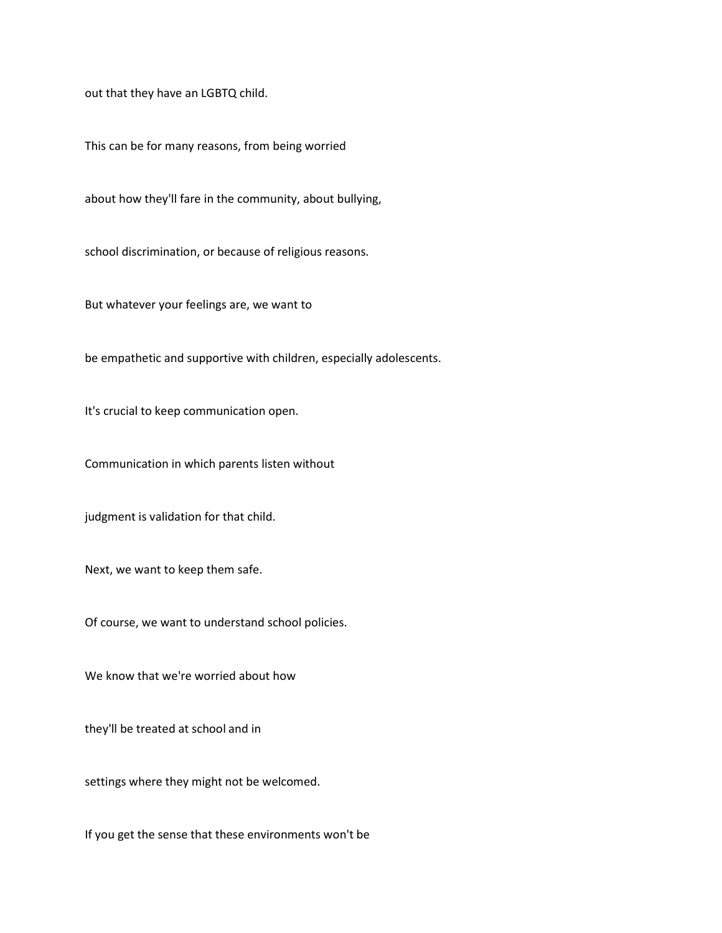out that they have an LGBTQ child.

This can be for many reasons, from being worried

about how they'll fare in the community, about bullying,

school discrimination, or because of religious reasons.

But whatever your feelings are, we want to

be empathetic and supportive with children, especially adolescents.

It's crucial to keep communication open.

Communication in which parents listen without

judgment is validation for that child.

Next, we want to keep them safe.

Of course, we want to understand school policies.

We know that we're worried about how

they'll be treated at school and in

settings where they might not be welcomed.

If you get the sense that these environments won't be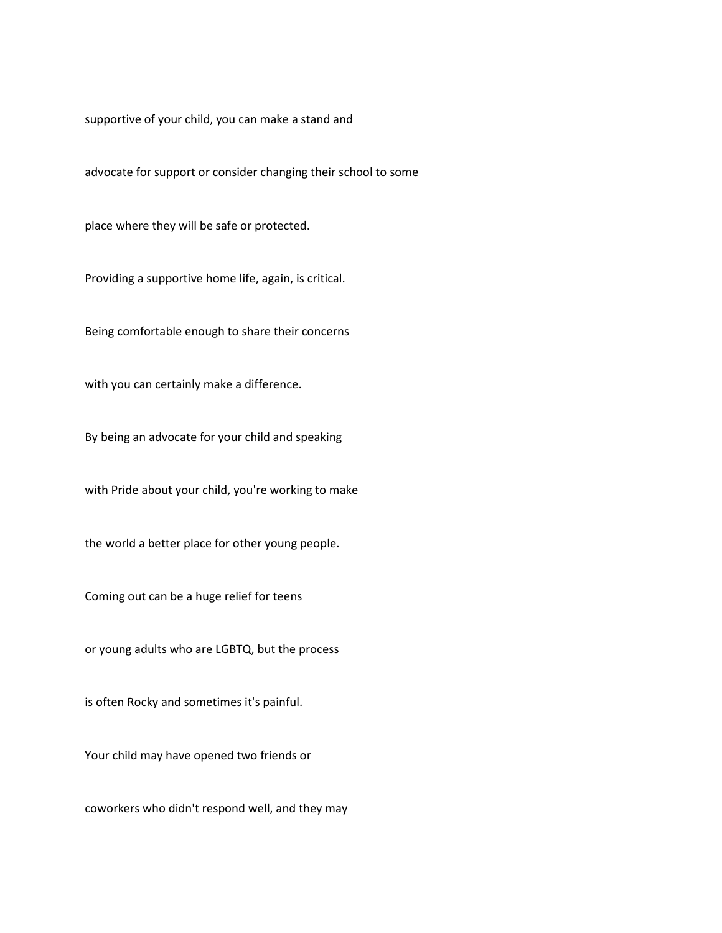supportive of your child, you can make a stand and

advocate for support or consider changing their school to some

place where they will be safe or protected.

Providing a supportive home life, again, is critical.

Being comfortable enough to share their concerns

with you can certainly make a difference.

By being an advocate for your child and speaking

with Pride about your child, you're working to make

the world a better place for other young people.

Coming out can be a huge relief for teens

or young adults who are LGBTQ, but the process

is often Rocky and sometimes it's painful.

Your child may have opened two friends or

coworkers who didn't respond well, and they may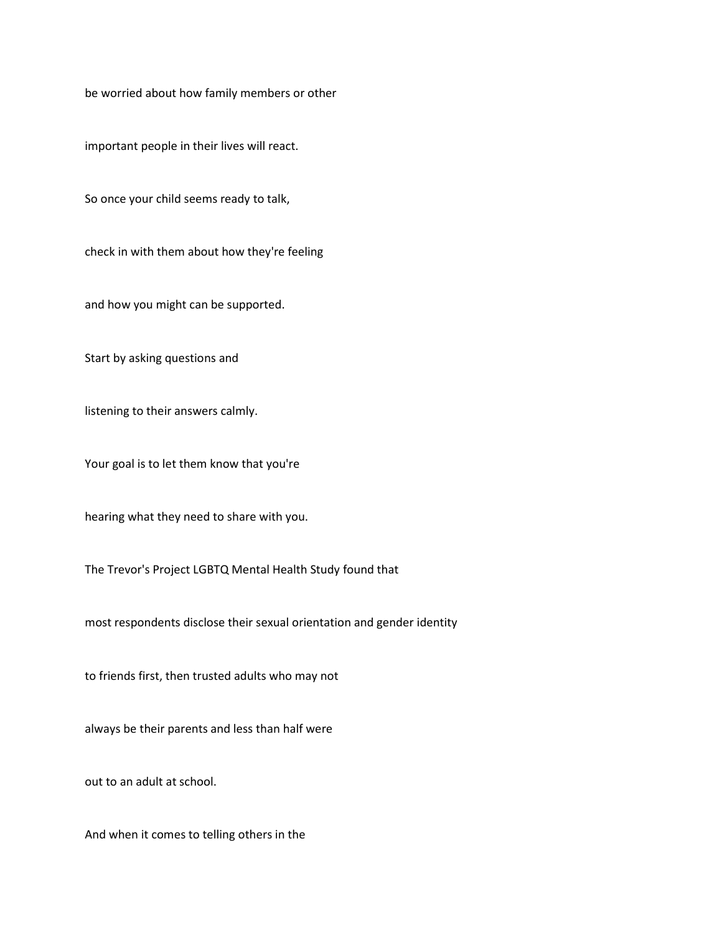be worried about how family members or other

important people in their lives will react.

So once your child seems ready to talk,

check in with them about how they're feeling

and how you might can be supported.

Start by asking questions and

listening to their answers calmly.

Your goal is to let them know that you're

hearing what they need to share with you.

The Trevor's Project LGBTQ Mental Health Study found that

most respondents disclose their sexual orientation and gender identity

to friends first, then trusted adults who may not

always be their parents and less than half were

out to an adult at school.

And when it comes to telling others in the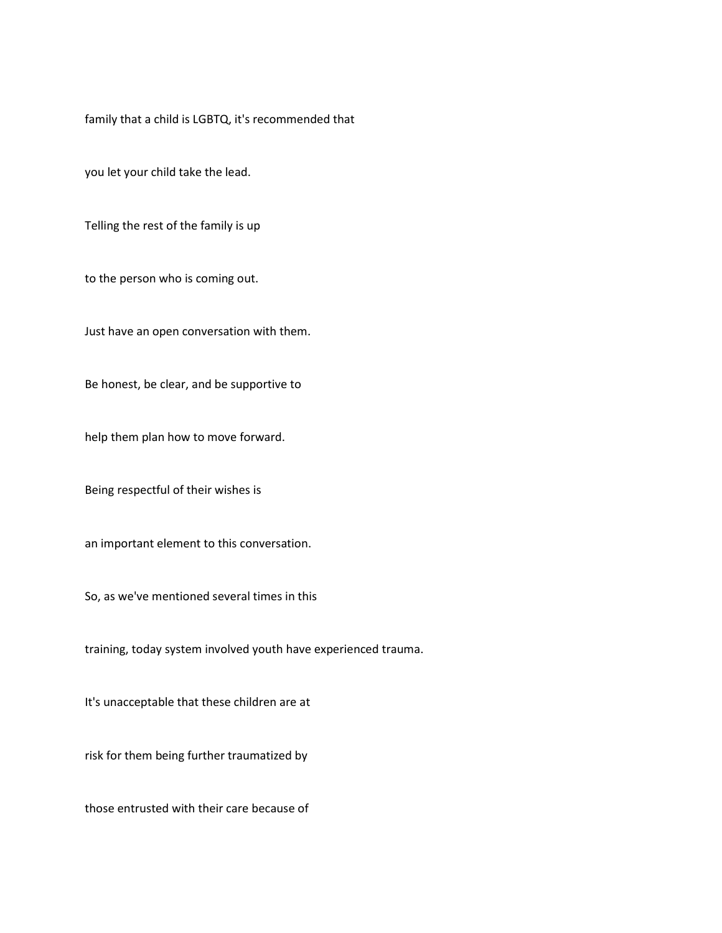family that a child is LGBTQ, it's recommended that

you let your child take the lead.

Telling the rest of the family is up

to the person who is coming out.

Just have an open conversation with them.

Be honest, be clear, and be supportive to

help them plan how to move forward.

Being respectful of their wishes is

an important element to this conversation.

So, as we've mentioned several times in this

training, today system involved youth have experienced trauma.

It's unacceptable that these children are at

risk for them being further traumatized by

those entrusted with their care because of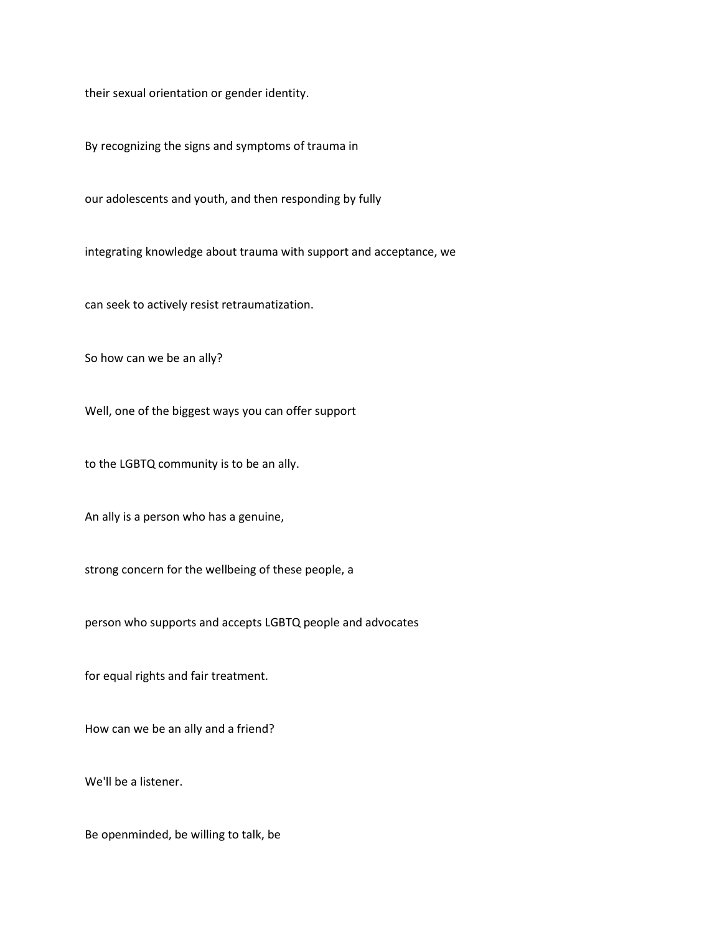their sexual orientation or gender identity.

By recognizing the signs and symptoms of trauma in

our adolescents and youth, and then responding by fully

integrating knowledge about trauma with support and acceptance, we

can seek to actively resist retraumatization.

So how can we be an ally?

Well, one of the biggest ways you can offer support

to the LGBTQ community is to be an ally.

An ally is a person who has a genuine,

strong concern for the wellbeing of these people, a

person who supports and accepts LGBTQ people and advocates

for equal rights and fair treatment.

How can we be an ally and a friend?

We'll be a listener.

Be openminded, be willing to talk, be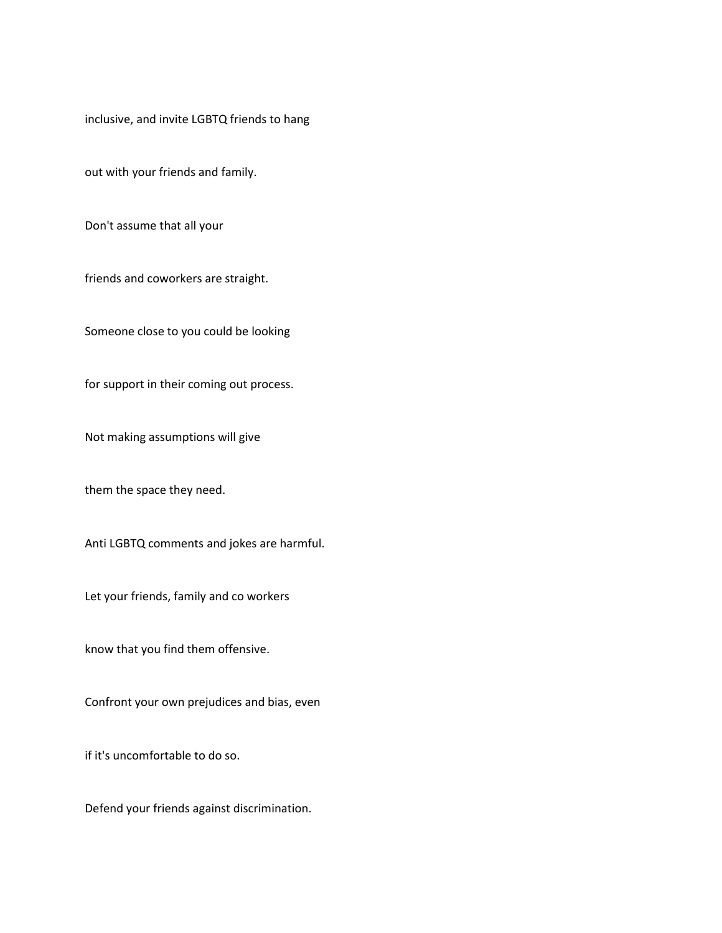inclusive, and invite LGBTQ friends to hang

out with your friends and family.

Don't assume that all your

friends and coworkers are straight.

Someone close to you could be looking

for support in their coming out process.

Not making assumptions will give

them the space they need.

Anti LGBTQ comments and jokes are harmful.

Let your friends, family and co workers

know that you find them offensive.

Confront your own prejudices and bias, even

if it's uncomfortable to do so.

Defend your friends against discrimination.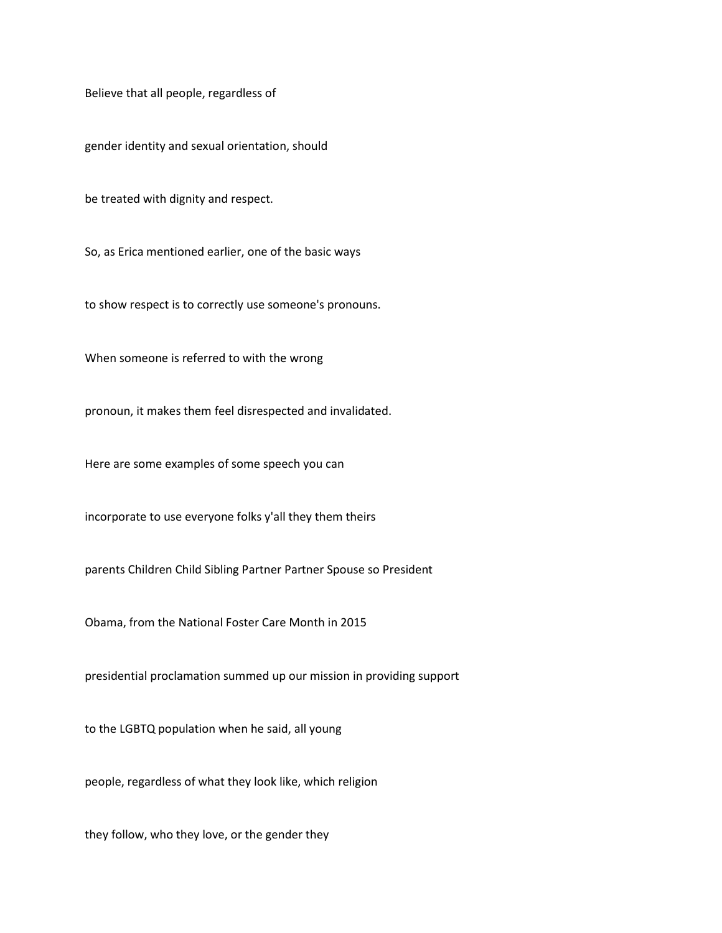Believe that all people, regardless of

gender identity and sexual orientation, should

be treated with dignity and respect.

So, as Erica mentioned earlier, one of the basic ways

to show respect is to correctly use someone's pronouns.

When someone is referred to with the wrong

pronoun, it makes them feel disrespected and invalidated.

Here are some examples of some speech you can

incorporate to use everyone folks y'all they them theirs

parents Children Child Sibling Partner Partner Spouse so President

Obama, from the National Foster Care Month in 2015

presidential proclamation summed up our mission in providing support

to the LGBTQ population when he said, all young

people, regardless of what they look like, which religion

they follow, who they love, or the gender they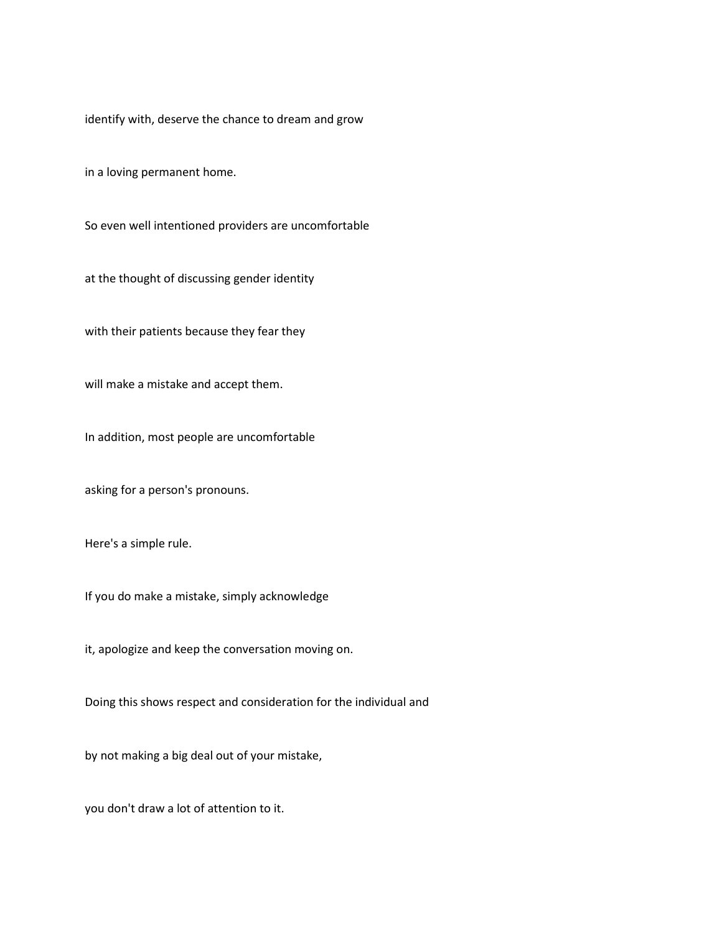identify with, deserve the chance to dream and grow

in a loving permanent home.

So even well intentioned providers are uncomfortable

at the thought of discussing gender identity

with their patients because they fear they

will make a mistake and accept them.

In addition, most people are uncomfortable

asking for a person's pronouns.

Here's a simple rule.

If you do make a mistake, simply acknowledge

it, apologize and keep the conversation moving on.

Doing this shows respect and consideration for the individual and

by not making a big deal out of your mistake,

you don't draw a lot of attention to it.